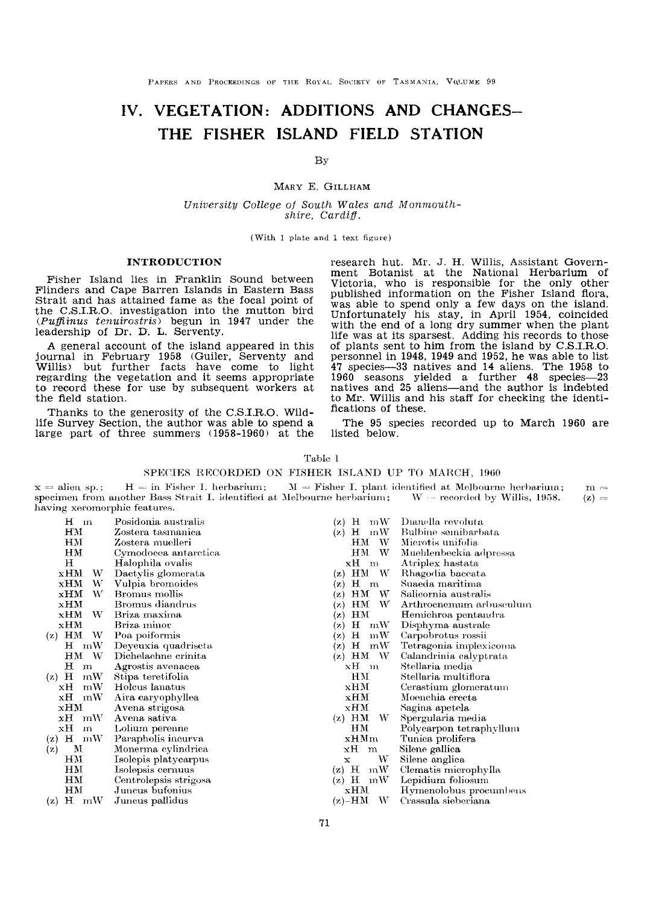# IV. VEGETATION: ADDITIONS AND CHANGES-THE FISHER ISLAND FIELD STATION

#### By

#### MARY E. GILLHAM

University College of South Wales and Monmouthshire, Cardiff,

(With  $1$  plate and  $1$  text figure)

#### INTRODUCTION

Fisher Island lies in Franklin Sound between Flinders and Cape Barren Islands in Eastern Bass Strait and has attained fame as the focal point of the C.S.I.R.O. investigation into the mutton bird  $(Puffinus$   $tenuirostris)$  begun in 1947 under the leadership of Dr. D. L. Serventy.

A general account of the island appeared in this journal in February 1958 (Guiler, Serventy and Willis) but further facts have come to light regarding the vegetation and it seems appropriate regarding the vegetation and it seems appropriate to record these for use by subsequent workers at the field station.

Thanks to the generosity of the C.S.I.R.O. Wild-<br>life Survey Section, the author was able to spend a large part of three summers (1958-1960) at the research hut. Mr. J. H. Willis, Assistant Government Botanist at the National Herbarium of Victoria, who is responsible for the only other published information on the Fisher Island flora, was able to spend only a few days on the island. Unfortunately his stay, in April 1954, coincided with the end of a long dry summer when the plant life was at its sparsest. Adding his records to those of plants sent to him from the island by C.S.I.RO. personnel in 1948, 1949 and 1952, he was able to list 47 species-33 natives and 14 aliens. The 1958 to 1960 seasons yielded a further 48 spectes-23 natives and 25 aliens-and the author is indebted to Mr. Willis and his staff for checking the identifications of these.

The 95 species recorded up to March 1960 are listed below.

Table I

#### SPECIES RECORDED ON FISHER ISLAND UP TO MARCH, 1960

|                              | $x =$ alien sp.; H = in Fisher I. herbarium; $M =$ Fisher I. plant identified at Melbourne herbarium;         | $m =$ |
|------------------------------|---------------------------------------------------------------------------------------------------------------|-------|
|                              | specimen from another Bass Strait I, identified at Melbourne herbarium; $W =$ recorded by Willis, 1958. (z) = |       |
| having xeromorphic features. |                                                                                                               |       |

| $H$ m                       | Posidonia australis   | mW<br>$(x)$ H              | Dianella revoluta       |
|-----------------------------|-----------------------|----------------------------|-------------------------|
| HМ                          | Zostera tasmanica     | $^{\rm mW}$<br>н<br>(x)    | Bulbine semibarbata     |
| ΗМ                          | Zostera muelleri      | W<br>HМ                    | Microtis unifolia       |
| HM.                         | Cymodocea antarctica  | W<br>HМ                    | Muehlenbeckia adpressa  |
| н                           | Halophila ovalis      | xН<br>m                    | Atriplex hastata        |
| xHM<br>W                    | Dactylis glomerata    | HМ<br>W.<br>$(\mathbf{z})$ | Rhagodia baccata        |
| W<br>xHM                    | Vulpia bromoides      | $H \, m$<br>(z)            | Suaeda maritima         |
| W<br>xHM                    | Bromus mollis         | HM<br>W.<br>(z)            | Salicornia australis    |
| xHM                         | Bromus diandrus       | W<br>HM<br>(z)             | Arthroenemum arbuseulum |
| W<br>xHM                    | Briza maxima          | HM<br>(z)                  | Hemichroa pentandra     |
| xHM                         | Briza minor           | Н<br>mW<br>(z)             | Disphyma australe       |
| $(z)$ HM<br>W               | Poa poiformis         | н<br>mW<br>(2)             | Carpobrotus rossii      |
| $H \cdot mW$                | Deyeuxia quadriseta   | $H$ mW<br>(z)              | Tetragonia implexicoma  |
| - W<br>$_{\rm HM}$          | Dichelachne crinita   | HM<br>W<br>(z)             | Calandrinia calyptrata  |
| н<br>m                      | Agrostis avenacea     | xH m                       | Stellaria media         |
| н<br>mW<br>(z)              | Stipa teretifolia     | ΗМ                         | Stellaria multiflora    |
| mW<br>хH                    | Holcus lanatus        | xHM                        | Cerastium glomeratum    |
| хH<br>$\mathbf{n}$ W        | Aira caryophyllea     | xHM                        | Moenchia erecta         |
| $\boldsymbol{\mathrm{xHM}}$ | Avena strigosa        | xНM                        | Sagina apetela          |
| $\bold{xH}$ mW              | Avena sativa          | $(z)$ HM<br>W.             | Spergularia media       |
| хH<br>m                     | Lolium perenne        | HМ                         | Polycarpon tetraphyllum |
| $(z)$ H mW                  | Parapholis incurva    | xHMm                       | Tunica prolifera        |
| М<br>(z)                    | Monerma cylindrica    | хH<br>m                    | Silene gallica          |
| HМ                          | Isolepis platycarpus  | W<br>x                     | Silene anglica          |
| HM                          | Isolepsis cernuus     | $(z)$ H<br>mW              | Clematis microphylla    |
| HM                          | Centrolepsis strigosa | н<br>mW<br>(z)             | Lepidium foliosum       |
| HM                          | Juncus bufonius       | xHM                        | Hymenolobus procumbens  |
| $(z)$ H mW                  | Juneus pallidus       | $(z)$ -HM<br>W             | Crassula sieberiana     |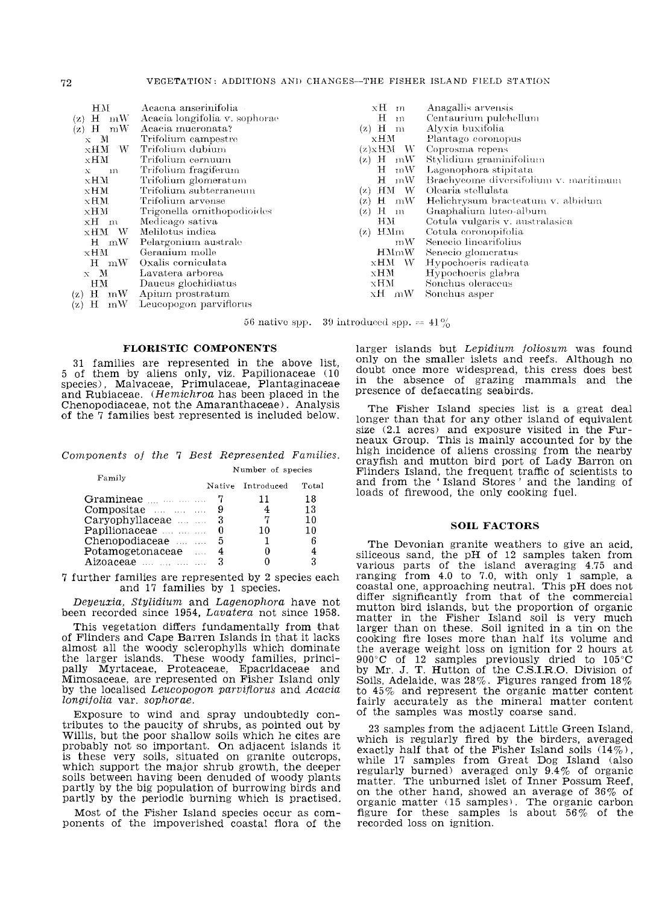| HМ                     | Acaena anserinifolia          | xH m             | Anagallis arvensis                    |
|------------------------|-------------------------------|------------------|---------------------------------------|
| mW<br>H(x)             | Acacia longifolia v. sophorae | н<br>m           | Centaurium pulchellum                 |
| mW<br>$(x)$ H          | Acacia mucronata?             | $(z)$ H<br>n.    | Alyxia buxifolia                      |
| $x \in M$              | Trifolium campestre           | xHM              | Plantago coronopus                    |
| - W<br>$\times H M$    | Trifolium dubium              | $(z)$ x $HM$ W   | Coprosma repens                       |
| xНМ                    | Trifolium cernuum             | $H$ mW<br>(z)    | Stylidium graminifolium               |
| m<br>$\mathbf{x}$      | Trifolium fragiferum          | Ή<br>mW          | Lagenophora stipitata                 |
| xHM                    | Trifolium glomeratum          | – mW<br>н        | Brachycome diversifolium v. maritimum |
| xHM                    | Trifolium subterraneum        | HM W<br>(z)      | Olearia stellulata                    |
| $xHM$ .                | Trifolium arvense             | $H$ mW<br>(z)    | Helichrysum bracteatum v. albidum     |
| xHM                    | Trigonella ornithopodioides   | H<br>(z)<br>- 1n | Gnaphalium luteo-album                |
| xH m                   | Medicago sativa               | ΗМ               | Cotula vulgaris v. australasica       |
| xHM W                  | Melilotus indica              | HMm<br>(x)       | Cotula coronopifolia                  |
| $H$ mW                 | Pelargonium australe          | mW               | Senecio linearifolius                 |
| xHM                    | Geranium molle                | HMmW             | Senecio glomeratus                    |
| $H \cdot mW$           | Oxalis corniculata            | xНM W            | Hypochoeris radicata                  |
| $\mathbf{x}$ M         | Lavatera arborea              | xHM.             | Hypochocris glabra                    |
| HM                     | Daucus glochidiatus           | xHM              | Sonchus oleraceus                     |
| mW<br>$\rm (z)$ H      | Apium prostratum              | xH mW            | Sonchus asper                         |
| mW<br>$\mathrm{H}$ (x) | Leucopogon parviflorus        |                  |                                       |
|                        |                               |                  |                                       |

56 native spp. 39 introduced spp.  $= 41\%$ 

#### **FLORISTIC COMPONENTS**

31 families are represented in the above list,<br>5 of them by aliens only, viz. Papilionaceae (10 species). Malvaceae. Primulaceae. Plantaginaceae and Rubiaceae. (*Hemichroa* has been placed in the Chenopodiaceae, not the Amaranthaceae). Analysis of the 7 families best represented is included below.

#### Components of the 7 Best Represented Families. Number of species

| r amuy               |   | Native Introduced | Total |
|----------------------|---|-------------------|-------|
| Gramineae <u> </u> 7 |   | 11                | 18    |
| Compositae    9      |   |                   | 13    |
| Caryophyllaceae 3    |   |                   | 10    |
|                      |   | 10                | 10    |
| Chenopodiaceae       | 5 |                   | 6     |
| Potamogetonaceae     |   |                   | 4     |
| Aizoaceae            |   |                   | 3     |

7 further families are represented by 2 species each and 17 families by 1 species.

Deyeuxia, Stylidium and Lagenophora have not been recorded since 1954, Lavatera not since 1958.

This vegetation differs fundamentally from that of Flinders and Cape Barren Islands in that it lacks almost all the woody sclerophylls which dominate amos an air woody start-pail is principally Myrtaceae, Proteaceae, Epacridaceae and Mimosaceae, are represented on Fisher Island only by the localised Leucopogon parviflorus and Acacia longifolia var. sophorae.

Exposure to wind and spray undoubtedly contributes to the paucity of shrubs, as pointed out by Willis, but the poor shallow soils which he cites are probably not so important. On adjacent islands it is these very soils, situated on granite outcrops, which support the major shrub growth, the deeper soils between having been denuded of woody plants partly by the big population of burrowing birds and partly by the periodic burning which is practised.

Most of the Fisher Island species occur as components of the impoverished coastal flora of the

larger islands but Lepidium foliosum was found only on the smaller islets and reefs. Although no doubt once more widespread, this cress does best<br>in the absence of grazing mammals and the presence of defaecating seabirds.

The Fisher Island species list is a great deal longer than that for any other island of equivalent size (2.1 acres) and exposure visited in the Furneaux Group. This is mainly accounted for by the high incidence of aliens crossing from the nearby crayfish and mutton bird port of Lady Barron on Flinders Island, the frequent traffic of scientists to<br>and from the 'Island Stores' and the landing of loads of firewood, the only cooking fuel.

#### **SOIL FACTORS**

The Devonian granite weathers to give an acid, siliceous sand, the pH of 12 samples taken from various parts of the island averaging 4.75 and<br>ranging from 4.0 to 7.0, with only 1 sample, a coastal one, approaching neutral. This pH does not<br>differ significantly from that of the commercial mutton bird islands, but the proportion of organic matter in the Fisher Island soil is very much larger than on these. Soil ignited in a tin on the cooking fire loses more than half its volume and the average weight loss on ignition for 2 hours at 900°C of 12 samples previously dried to 105°C<br>by Mr. J. T. Hutton of the C.S.I.R.O. Division of Soils, Adelaide, was  $28\%$ . Figures ranged from  $18\%$ to  $45\%$  and represent the organic matter content fairly accurately as the mineral matter content of the samples was mostly coarse sand.

23 samples from the adjacent Little Green Island, which is regularly fired by the birders, averaged exactly half that of the Fisher Island soils  $(14\%)$ , while 17 samples from Great Dog Island (also<br>regularly burned) averaged only 9.4% of organic matter. The unburned islet of Inner Possum Reef. on the other hand, showed an average of 36% of organic matter (15 samples). The organic carbon<br>figure for these samples is about  $56\%$  of the recorded loss on ignition.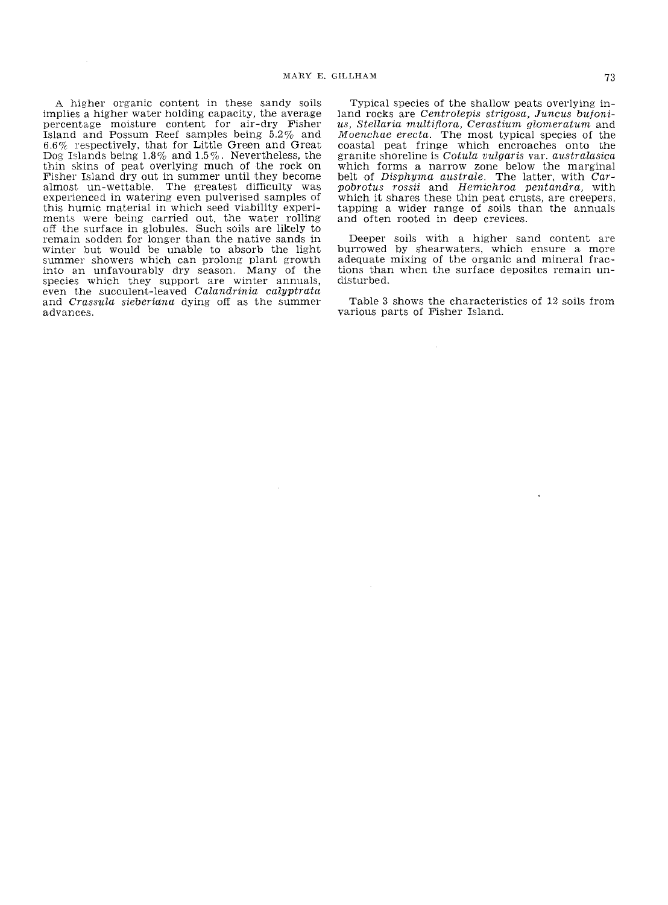A higher organic content in these sandy soils implies a higher water holding capacity, the average percentage moisture content for air-dry Fisher Island and Possum Reef samples being 5.2% and  $6.6\%$  respectively, that for Little Green and Great Dog Islands being 1.8 % and 1.5 %. Nevertheless, the thin skins of peat overlying much of the rock on Fisher Island dry out in summer until they become almost un-wettable. The greatest difficulty was experienced in watering even pulverised samples of this humic material in which seed viability experiments were being carried out. the water rolling off the surface in globules. Such soils are likely to remain sodden for longer than the native sands in winter but would be unable to absorb the light summer showers which can prolong plant growth into an unfavourably dry season. Many of the even the succulent-leaved Calandrinia calyptrata and Crassula sieberiana dying off as the summer advances.

Typical species of the shallow peats overlying in $land$  rocks are *Centrolepis strigosa*, *Juncus* bufonius, Stellaria multiflora, Cerastium glomeratum and Moenchae erecta. The most typical species of the coastal peat fringe which encroaches onto the granite shoreline is Cotula vulgaris var. australasica which forms a narrow zone below the marginal belt of Disphyma australe. The latter, with Car-pobrotus rossii and Hemichroa pentandra, with which it shares these thin peat crusts, are creepers, tapping a wider range of soils than the annuals and often rooted in deep crevices.

Deeper soils with a higher sand content are burrowed by shearwaters, which ensure a more adequate mixing of the organic and mineral fractions than when the surface deposites remain un- disturbed.

Table 3 shows the characteristics of 12 soils from various parts of Fisher Island.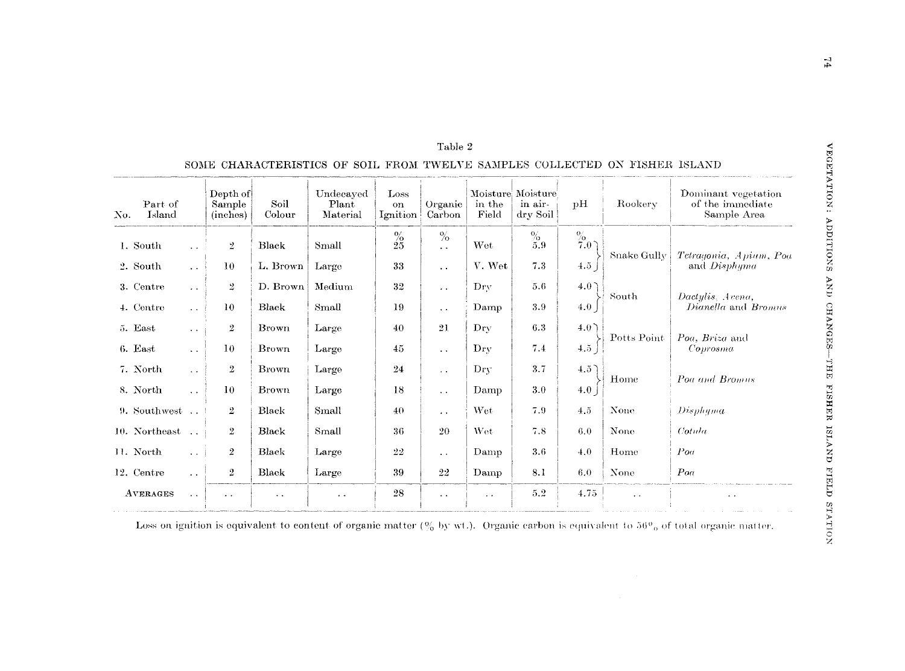| Part of<br>Island<br>No. |                      | Depth of<br>Sample<br>(inches) | Soil<br>Colour | Undecayed<br>Plant<br>Material | Loss<br><b>on</b><br>Ignition | Organic<br>Carbon            | in the<br>Field        | Moisture Moisture<br>in air-<br>dry Soil | $\mathbf{p}$ H   | Rookery              | Dominant vegetation<br>of the immediate<br>Sample Area |
|--------------------------|----------------------|--------------------------------|----------------|--------------------------------|-------------------------------|------------------------------|------------------------|------------------------------------------|------------------|----------------------|--------------------------------------------------------|
| 1. South                 | $\ddotsc$            | $\overline{2}$                 | Black          | Small                          | $^{9\!\!}/_{25}$              | $\%$<br>$\ddot{\phantom{0}}$ | Wet                    | $\%$<br>5.9                              | $\frac{\%}{7.0}$ |                      |                                                        |
| 2. South                 | $\sim$ $\sim$        | 10                             | L. Brown       | Large                          | 33                            | $\ddot{\phantom{0}}$         | V. Wet                 | 7.3                                      | 4.5              | Snake Gully          | Tetragonia, Apium, Poa<br>and Disphyma                 |
| 3. Centre                | $\sim$ $\sim$        | $\overline{2}$                 | D. Brown       | Medium                         | 32                            | $\ddot{\phantom{1}}$ .       | Dry                    | 5.6                                      | 4.0°             |                      |                                                        |
| 4. Centre                | $\sim 10^{-1}$       | 10                             | Black          | Small                          | 19                            | $\ddot{\phantom{0}}$         | Damp                   | 3.9                                      | 4.0              | South                | Dactulis. Avena.<br>Dianella and Bromus                |
| 5. East                  | $\sim$ $\sim$        | $\mathbf{2}$                   | Brown          | Large                          | 40                            | 21                           | Dry                    | 6.3                                      | 4.0 <sup>2</sup> |                      |                                                        |
| 6. East                  | $\sim$ $\sim$        | 10                             | Brown          | Large                          | 45                            | $\ddot{\phantom{0}}$         | $_{\rm{Dry}}$          | 7.4                                      | 4.5              | Potts Point          | Poa, Briza and<br>Coprosma                             |
| 7. North                 | $\sim$ $\sim$        | $\overline{2}$                 | <b>Brown</b>   | Large                          | 24                            | $\ddot{\phantom{0}}$         | Dry                    | 3.7                                      | $4.5^\circ$      |                      |                                                        |
| 8. North                 | $\sim$ $\sim$        | 10                             | <b>Brown</b>   | Large                          | 18                            | $\ddot{\phantom{1}}$ .       | Damp                   | 3.0                                      | 4.0              | Home                 | Poa and Bromus                                         |
| $9.$ Southwest $\ldots$  |                      | $\overline{2}$                 | Black          | Small                          | 40                            | $\bullet$ $\bullet$          | Wet                    | 7.9                                      | 4.5              | None                 | Disphyma                                               |
| 10. Northeast            |                      | $\boldsymbol{2}$               | Black          | Small                          | 36                            | 20                           | Wet                    | 7.8                                      | 6.0              | None                 | Cotula                                                 |
| 11. North                | $\cdot$ . $\cdot$ 1  | $\overline{2}$                 | Black          | Large                          | 22                            | $\ddotsc$                    | Damp                   | 3.6                                      | 4.0              | Home                 | Pool                                                   |
| 12. Centre               | $\sim$ $\sim$        | $\overline{2}$                 | Black          | Large                          | 39                            | 22                           | Damp                   | 8.1                                      | 6.0              | None                 | Poa                                                    |
| AVERAGES                 | $\ddot{\phantom{1}}$ | $\ddot{\phantom{1}}$           | $\sim$ $\sim$  | $\ddot{\phantom{1}}$           | 28                            | $\sim$ $\sim$                | $\ddot{\phantom{1}}$ . | 5.2                                      | 4.75             | $\ddot{\phantom{1}}$ | $\bullet$ . $\bullet$                                  |

# Table  $2\,$ SOME CHARACTERISTICS OF SOIL FROM TWELVE SAMPLES COLLECTED ON FISHER ISLAND

Loss on ignition is equivalent to content of organic matter (% by wt.). Organic carbon is equivalent to 56% of total organic matter.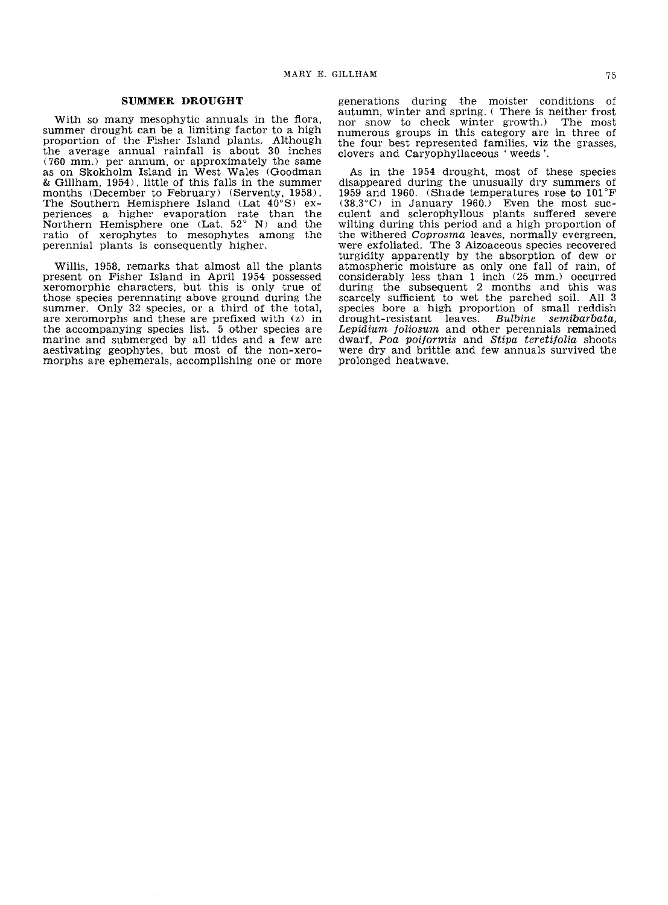#### **SUMMER DROUGHT**

With so many mesophytic annuals in the flora, summer drought can be a limiting factor to a high proportion of the Fisher Island plants. Although the average annual rainfall is about 30 inches (760 mm.) per annum, or approximately the same as on Skokholm Island in West Wales (Goodman & Gillham, 1954), little of this falls in the summer months (December to February) (Serventy, 1958). The Southern Hemisphere Island (Lat  $40^{\circ}$ S) experiences a higher evaporation rate than the Northern Hemisphere one (Lat. 52° N) and the ratio of xerophytes to mesophytes among the perennial plants is consequently higher.

Willis, 1958, remarks that almost all the plants present on Fisher Island in April 1954 possessed<br>xeromorphic characters, but this is only true of<br>those species perennating above ground during the summer. Only 32 species, or a third of the total, are xeromorphs and these are prefixed with  $(z)$  in the accompanying species list. 5 other species are marine and submerged by all tides and a few are aestivating geophytes, but most of the non-xero-<br>morphs are ephemerals, accomplishing one or more

generations during the moister conditions of autumn, winter and spring. ( There is neither frost nor snow to check winter growth,) The most numerous groups in this category are in three of ·the four best represented families, viz the grasses, clovers and Caryophyllaceous 'weeds'.

As in the 1954 drought, most of these species disappeared during the unusually dry summers of 1959 and 1960. (Shade temperatures rose to **101°F**  culent and sclerophyllous plants suffered severe wilting during this period and a high proportion of the withered Coprosma leaves, normally evergreen, were exfoliated. The 3 Aizoaceous species recovered turgidity apparently by the absorption of dew or atmospheric moisture as only one fall of rain, of considerably less than 1 inch (25 mm.) occurred scarcely sufficient to wet the parched soil. All 3 species bore a high proportion of small reddish drought-resistant leaves. Bulbine semibarbata, Lepidium foliosum and other perennials remained dwarf, Poa poiformis and Stipa teretifolia shoots were dry and brittle and few annuals survived the prolonged heatwave.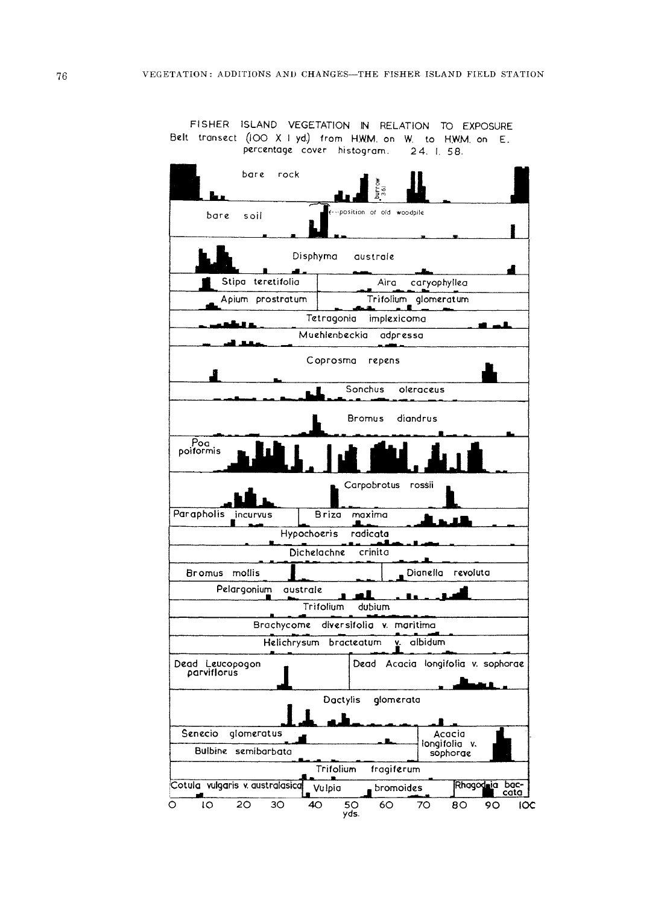FISHER ISLAND VEGETATION IN RELATION TO EXPOSURE Belt transect (IOO X I yd.) from H.W.M. on W. to H.W.M. on E. percentage cover histogram. 24. 1. 58.

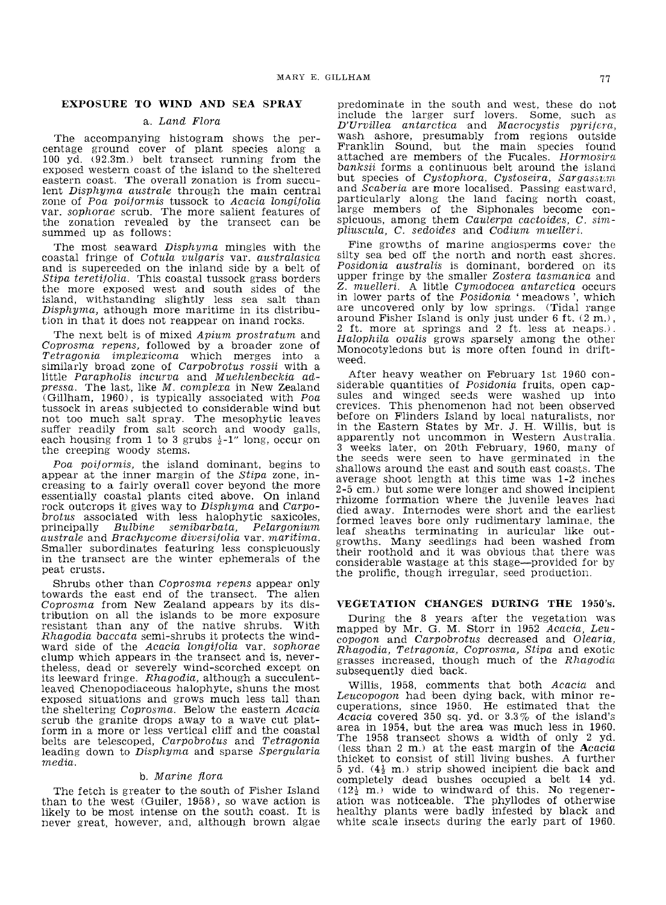## **EXPOSURE TO WIND AND SEA SPRAY**

#### a. Land Flora

The accompanying histogram shows the percentage ground cover of plant species along a 100 yd. (92.3m.) belt transect running from the exposed western coast of the island to the sheltered lent Disphyma australe through the main central<br>zone of Poa poiformis tussock to Acacia longifolia var. sophorae scrub. The more salient features of the zonation revealed by the transect can be summed up as follows:

The most seaward *Disphyma* mingles with the coastal fringe of Cotula vulgaris var. australasica and is superceded on the inland side by a belt of Stipa teretitolia. This coastal tussock grass borders the more exposed west and south sides of the island, withstanding slightly less sea salt than  $D$ *isphyma*, athough more maritime in its distribution in that it does not reappear on inand rocks.

The next belt is of mixed Apium prostratum and Coprosma repens, followed by a broader zone of Tetragonia implexicoma which merges into a similarly broad zone of Carpobrotus rossii with a little Parapholis incurva and Muehlenbeckia ad $pressa$ . The last, like  $M.$  complexa in New Zealand (Gillham, 1960), is typically associated with Poa tussock in areas subjected to considerable wind but not too much salt spray. The mesophytic leaves suffer readily from salt scorch and woody galls, each housing from 1 to 3 grubs  $\frac{1}{2}$ -1" long, occur on the creeping woody stems.

Poa poiformis, the island dominant, begins to appear at the inner margin of the Stipa zone, increasing to a fairly overall cover beyond the more essentially coastal plants cited above. On inland rock outcrops it gives way to Disphyma and Carpobrotus associated with less halophytic saxicoles, principally Bulbine semibarbata. Pelargonium principally Bulbine semibarbata, Pelargonium  $a$ ustrale and Brachycome diversitolia var.  $matrixa$ . Smaller subordinates featuring less conspicuously in the transect are the winter ephemerals of the peat crusts.

Shrubs other than Coprosma repens appear only towards the east end of the transect. The alien Coprosrna from New Zealand appears by its dis tribution on all the islands to be more exposure resistant than any of the native shrubs. With Rhagodia baccata semi-shrubs it protects the windward side of the Acacia longifolia var. sophorae clump which appears in the transect and is, never-<br>theless, dead or severely wind-scorched except on<br>its leeward fringe. *Rhagodia*, although a succulentleaved Chenopodiaceous halophyte, shuns the most exposed situations and grows much less tall than the sheltering Coprosma. Below the eastern Acacia scrub the granite drops away to a wave cut platform in a more or less vertical cliff and the coastal belts are telescoped, Carpobrotus and Tetragonia leading down to  $Disphuma$  and sparse Spergularia media.

#### b. Marine flora

The fetch is greater to the south of Fisher Island than to the west  $(Guiler, 1958)$ , so wave action is likely to be most intense on the south coast. It is never great, however, and, although brown algae

predominate in the south and west, these do not include the larger surf lovers. Some, such as  $D'Urvillea$  antarctica and Macrocystis purifera, wash ashore, presumably from regions outside Franklin Sound, but the main species found attached are members of the Fucales.  $Hormosira$ banksii forms a continuous belt around the island but species of Cystophora, Cystoseira, Sargassum and Scaberia are more localised. Passing eastward, particularly along the land facing north coast, large members of the Siphonales become conmembers of the Siphonales become conpliuscula, C. sedoides and Codium muelleri.

Fine growths of marine angiosperms cover the silty sea bed off the north and north east shores. Posidonia australis is dominant, bordered on its upper fringe by the smaller Zostera tasmanica and<br>Z. muelleri. A little Cumodocea antarctica occurs in lower parts of the Posidonia 'meadows', which are uncovered only by low springs. (Tidal range around Fishel' Island is only just under 6 ft. (2 m.) , 2 ft. more at springs and 2 ft. less at neaps.). Halophila ovalis grows sparsely among the other Monocotyledons but is more often found in driftweed.

After heavy weather on February 1st 1960 con-<br>siderable quantities of *Posidonia* fruits, open capsules and winged seeds were washed up into crevices. This phenomenon had not been observed in the Eastern States by Mr. J. H. Willis, but is apparently not uncommon in Western Australia. 3 weeks later, Oon 20th February, 1960., many of the seeds were seen to have germinated in the shallows around the east and south east coasts. The average shoot length at this time was 1-2 inches 2-5 cm,) but some were longer and showed incipient rhizome formation where the juvenile leaves had died away. Internodes were short and the earliest formed leaves bore only rudimentary laminae, the leaf sheaths terminating in auricular like outgrowths. Many seedlings had been washed from considerable was tage at this stage--provided for by the prolific, though irregular, seed production.

#### **VEGETATION** CHANGES **DURING THE** 1950's.

During the 8 years after the vegetation was mapped by Mr. G. M. Storr in 1952 Acacia, Leucopogon and Carpobrotus decreased and Olearia. Rhagodia, Tetragonia, Coprosma, Stipa and exotic grasses increased, though much of the Rhagodia subsequently died back.

Willis, 1958, comments that both Acacia and Leucopogon had been dying back, with minor recuperations, since 1950. He estimated that the Acacia eovered 350. sq. yd. or 3.3% of the island's area in 1954, but the area was much less in 1960.. The 1958 transect shows a width of only 2 yd. (less than 2 m,) at the east margin of the Acacia thicket to consist of still living bushes. A further 5 yd.  $(4\frac{1}{2}$  m.) strip showed incipient die back and completely dead bushes occupied a belt  $14$  yd.  $(12\frac{1}{2}$  m.) wide to windward of this. No regeneration was noticeable. The phyllodes of otherwise healthy plants were badly infested by black and white scale insects during the early part of 1960.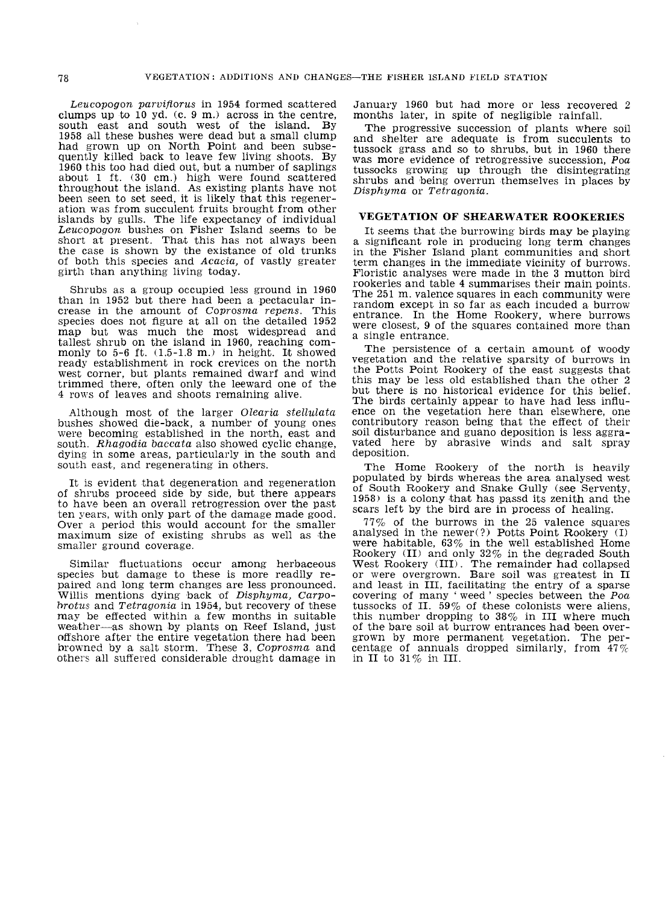$Leu$ copogon parviflorus in 1954 formed scattered clumps up to  $10$  yd.  $(c. 9$  m.) across in the centre, south east and south west of the island. By 1958 all these bushes were dead but a small clump had grown up on North Point and been subsequently killed back to leave few living shoots. By 1960 this too had died out, hut a number of saplings about 1 ft. (30 cm.) high were found scattered throughout the island. As existing plants have not been seen to set seed, it is likely that this regeneration was from succulent fruits brought from other islands by gulls. The life expectancy of individual Leucopogon bushes on Fisher Island seems to be short at present. That this has not always been the case is shown by the existance of old trunks of both this species and Acacia, of vastly greater girth than anything living today.

Shrubs as a group occupied less ground in 1960 than in 1952 but there had been a pectacular in- crease in the amount of Coprosma repens. This species does not figure at all on the detailed 1952 map but was much the most widespread and tallest shrub on the island in 1960, reaching com-<br>monly to 5-6 ft.  $(1.5-1.8 \text{ m.})$  in height. It showed ready establishment in rock crevices on the north west corner, but plants remained dwarf and wind trimmed there, often only the leeward one of the 4 rows of leaves and shoots remaining alive.

Although most of the larger Olearia stellulata<br>bushes showed die-back, a number of young ones were becoming established in the north, east and south. Rhagodia baccata also showed cyclic change, dying in some areas, particularly in the south and south east, and regenerating in others.

It is evident that degeneration and regeneration of shrubs proceed side by side, but there appears to have been an overall retrogression over the past ten years, with only part of the damage made good. Over a period this would account for the smaller  $maximum size of existing shrubs as well as the$ smaller ground coverage.

Similar fluctuations occur among herbaceous species but damage to these is more readily re-<br>paired and long term changes are less pronounced. Willis mentions dying back of Disphyma, Carpobrotus and Tetragonia in 1954, but recovery of these may be effected within a few months in suitable weather-as shown by plants on Reef Island, just offshore after the entire vegetation there had been browned by a salt storm. These 3, Coprosma and others all suffered considerable drought damage in

January 1960 but had more or less recovered 2 months later, in spite of negligible rainfall.

The progressive succession of plants where soil and shelter are adequate is from succulents to tussock grass and so to shrubs, but in 1960 there was more evidence of retrogressive succession, Poa tussocks growing up through the disintegrating shrubs and being overrun themselves in places by Disphyma or Tetragonia.

## VEGETATION OF SHEARWATER ROOKERIES

It seems that the burrowing birds may be playing a significant role in producing long term changes in the Fisher Island plant communities and short term changes in the immediate vicinity of burrows. Floristic analyses were made in the 3 mutton bird rookeries and table 4 summarises their main points. random except in so far as each incuded a burrow entrance. In the Home Rookery, where burrows were closest, 9 of the squares contained more than a single entrance.

The persistence of a certain amount of woody vegetation and the relative sparsity of burrows in the Potts Point Rookery of the east suggests that this may be less old established than the other 2 but there is no historical evidence for this belief.<br>The birds certainly appear to have had less influence on the vegetation here than elsewhere, one contributory reason being that the effect of their soil disturbance and guano deposition is less aggravated here by abrasive winds and salt spray deposition.

The Home Rookery of the north is heavily populated by hirds whereas the area analysed west of South Rookery and Snake Gully (see Serventy,  $1958$ ) is a colony that has passd its zenith and the scars left by the bird are in process of healing.

 $77\%$  of the burrows in the 25 valence squares analysed in the newer(?) Potts Point Rookery (I) were habitable,  $63\%$  in the well established Home Rookery (II) and only  $32\%$  in the degraded South West Rookery (lID. The remainder had collapsed or were overgrown. Bare soil was greatest in II and least in III, facilitating the entry of a sparse covering of many 'weed' species between the Poa tussocks of II.  $59\%$  of these colonists were aliens, this number dropping to 38% in III where much of the bare soil at burrow entrances had been overgrown by more permanent vegetation. The percentage of annuals dropped similarly, from  $47\%$ in II to 31% in III.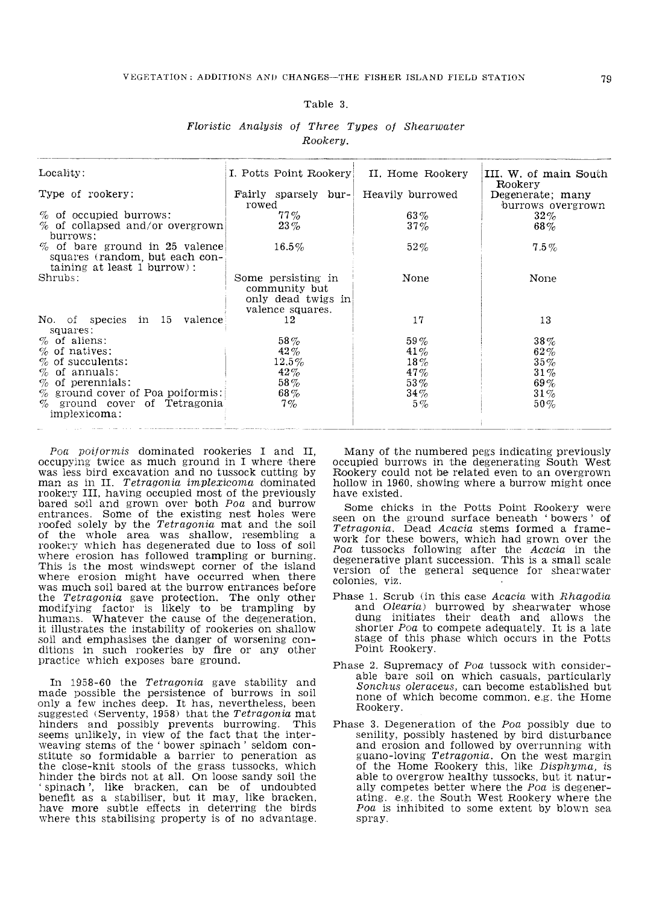#### Table 3.

#### Floristic Analysis oj Three Types oj Shearwater Rookery.

|                                                           |                                                                                                                                             | III. W. of main South<br>Rookery                                                                        |
|-----------------------------------------------------------|---------------------------------------------------------------------------------------------------------------------------------------------|---------------------------------------------------------------------------------------------------------|
|                                                           | Heavily burrowed                                                                                                                            | Degenerate; many<br>burrows overgrown                                                                   |
| $77\%$                                                    | $63\%$                                                                                                                                      | $32\%$                                                                                                  |
|                                                           |                                                                                                                                             | $68\%$                                                                                                  |
| $\%$ of bare ground in 25 valence<br>$16.5\%$             | $52\%$                                                                                                                                      | $7.5\%$                                                                                                 |
| Some persisting in<br>community but<br>only dead twigs in | None                                                                                                                                        | None                                                                                                    |
| No. of species in 15 valence<br>12                        | 17                                                                                                                                          | 13                                                                                                      |
| $58\%$                                                    | 59%                                                                                                                                         | $38\%$                                                                                                  |
| 42%                                                       | $41\%$                                                                                                                                      | $62\%$                                                                                                  |
| $12.5\%$                                                  | $18\%$                                                                                                                                      | $35\%$                                                                                                  |
|                                                           |                                                                                                                                             | $31\%$                                                                                                  |
|                                                           |                                                                                                                                             | $69\%$                                                                                                  |
| $\%$ ground cover of Tetragonia<br>7%                     | $5\%$                                                                                                                                       | $31\%$<br>$50\%$                                                                                        |
|                                                           | rowed<br>$23\%$<br>$\%$ of collapsed and/or overgrown<br>valence squares.<br>42%<br>$58\%$<br>$\%$ ground cover of Poa poiformis:<br>$68\%$ | I. Potts Point Rookery II. Home Rookery<br>Fairly sparsely bur-<br>$37\%$<br>$47\%$<br>$53\%$<br>$34\%$ |

 $P$ oa poi/ormis dominated rookeries I and II, occupying twice as much ground in I where there was less bird excavation and no tussock cutting by man as in II. Tetragonia implexicoma dominated rookery III, having occupied most of the previously bared soil and grown over both Poa and burrow entrances. Some of the existing nest holes were roofed solely by the *Tetragonia* mat and the soil of the whole area was shallow, resembling a rookery which has degenerated due to loss of soil where erosion has followed trampling or burning. This is the most windswept corner of the island where erosion might have occurred when there was much soil bared at the burrow entrances before the Tetragonia gave protection. The only other modifying factor is likely to be trampling by humans. Whatever the cause of the degeneration, it illustrates the instability of rookeries on shallow<br>soil and emphasises the danger of worsening conditions in such rookeries by fire or any other practice which exposes bare ground.

In 1958-60 the Tetragonia gave stability and made possible the persistence of burrows in soil only a few inches deep. It has, nevertheless, been suggested (Serventy, 1958) that the Tetragonia mat hinders and possibly prevents burrowing. This seems unlikely, in view of the fact that the inter-weaving stems of the 'bower spinach' seldom conweaving stems of the 'bower spinach' seldom con-<br>stitute so formidable a barrier to peneration as<br>the close-knit stools of the grass tussocks, which hinder the birds not at all. On loose sandy soil the 'spinach', like bracken, can be of undoubted 'spinach', like bracken, can be of undoubted<br>benefit as a stabiliser, but it may, like bracken, have more subtle effects in deterring the birds where this stabilising property is of no advantage.

Many of the numbered pegs indicating previously occupied burrows in the degenerating South West Rookery could not be related even to an overgrown hollow in 1960, showing where a burrow might once have existed.

Some chicks in the Potts Point Rookery were seen on the ground surface beneath 'bowers' of Tetragonia. Dead Acacia stems formed a framework for these bowers, which had grown over the Poa tussocks following after the  $Acacia$  in the degenerative plant succession. This is a small scale version of the general sequence for shearwater colonies, viz.

- Phase 1. Scrub (in this case Acacia with Rhagodia and Olearia) burrowed by shearwater whose dung initiates their death and allows the shorter  $P$ oa to compete adequately. It is a late stage of this phase which occurs in the Potts Point Rookery.
- Phase 2. Supremacy of Poa tussock with considerable bare soil on which casuals, particularly Sonchus oleraceus, can become established but none of which become common, e.g. the Home Rookery.
- Phase 3. Degeneration of the Poa possibly due to senility, possibly hastened by bird disturbance and erosion and followed by overrunning with guano-loving Tetragonia. On the west margin of the Home Rookery this, like Disphyma, is able to overgrow healthy tussocks, but it naturally competes better where the Poa is degenerating. e.g. the South West Rookery where the Poa is inhibited to some extent by blown sea spray.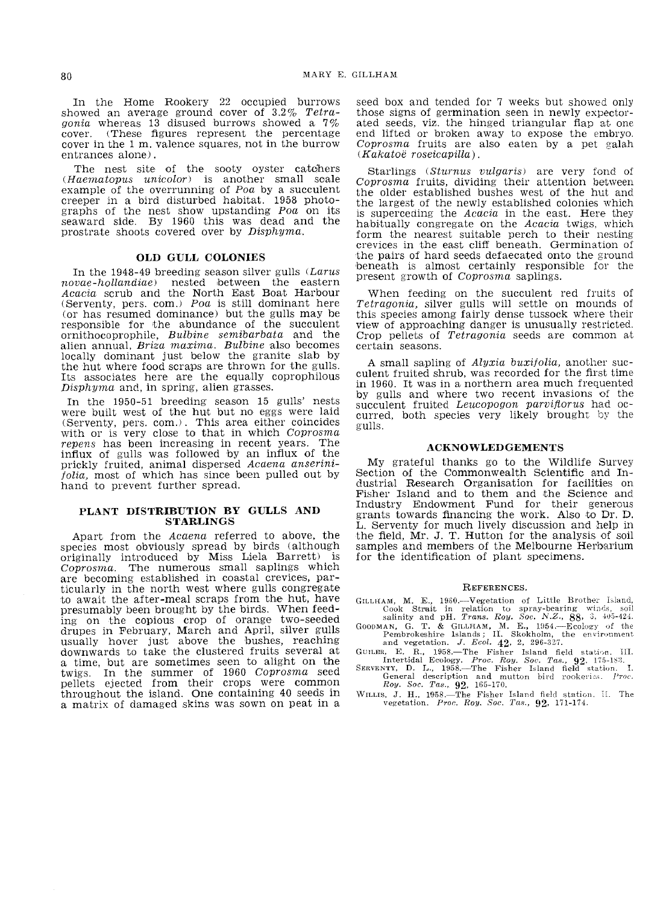In the Home Rookery 22 occupied burrows showed an average ground cover of  $3.2\%$  Tetra-<br>gonia whereas 13 disused burrows showed a  $7\%$ cover. (These figures represent the percentage cover in the 1 m. valence squares, not in the burrow entrances alone).

The nest site of the sooty oyster catchers (Haematopus unicolor) is another small scale example of the overrunning of Poa by a succulent creeper in a bird disturbed habitat. 1958 photographs of the nest show upstanding Poa on its seaward side. By 1960 this was dead and the prostrate shoots covered over by Disphyma.

#### OLD GULL COLONIES

In the 1948-49 breeding season silver gulls  $(Larus)$ novae-hollandiae) nested between the eastern Acacia scrub and the North East Boat Harbour (Serventy, pers. com.) Poa is still dominant here (or has resumed dominance) but the gulls may be responsible for the abundance of the succulent ornithocoprophile, Bulbine semibarbata and the alien annual, Briza maxima. Bulbine also becomes locally dominant just below the granite slab by the hut where food scraps are thrown for the gulls. Its associates here are the equally coprophilous Disphyma and, in spring, alien grasses.

In the 1950-51 breeding season 15 gulls' nests were built west of the hut but no eggs were laid (Serventy, pers. com.). This area either coincides with or is very close to that in which Coprosma repens has been increasing in recent years. The influx of gulls was followed by an influx of the prickly fruited, animal dispersed Acaena anserini $folia$ , most of which has since been pulled out by hand to prevent further spread.

#### PLANT DISTRIBUTION BY GULLS AND **STARLINGS**

Apart from the Acaena referred to above, the species most obviously spread by birds (although originally introduced by Miss Uela Barrett) is Coprosma. The numerous small saplings which are becoming established in coastal crevices. particularly in the north west where gulls congregate to await the after-meal scraps from the hut, have presumably been brought by the birds. When feeding on the copious crop of orange two-seeded drupes in February, March and April, silver gulls usually hover just above the bushes, reaching<br>downwards to take the clustered fruits several at a time, but are sometimes seen to alight on the twigs. In the summer of 1960 Coprosma seed pellets ejected from their crops were common throughout the island. One containing 40 seeds in a matrix of damaged skins was sown on peat in a seed box and tended for 7 weeks but showed only those signs of germination seen in newly expector-<br>ated seeds, viz. the hinged triangular flap at one ated seeds, viz. the hinged triangular flap at one end lifted or broken away to expose the embryo.<br>Coprosma fruits are also eaten by a pet galah  $(Kakatoë roseicapilla)$ .

Starlings (Sturnus vulgaris) are very fond of Coprosma frutts, dividing their attention between the older established bushes west of the hut and the largest of the newly established colonies which is superceding the Acacia in the east. Here they habitually congregate on the Acacia twigs, which form the nearest suitable perch to their nesting crevices in the east cliff beneath. Germination of the pairs of hard seeds defaecated onto the ground beneath is almost certainly responsible for the present growth of Coprosma saplings.

When feeding on the succulent red fruits of Tetragonia, silver gulls will settle on mounds of this species among fairly dense tussock where their view of approaching danger is unusually restricted. Crop pellets of Tetragonia seeds are common at certain seasons.

A small sapling of Alyxia buxijolia, another suc- culent fruited shrub, was recorded for the first time in 1960. It was in a northern area much frequented by gulls and where two recent invasions of the succulent fruited *Leucopogon parviflorus* had occurred, both species very likely brought by the gulls.

#### ACKNOWLEDGEMENTS

My grateful bhanks go to the Wildlife Survey Section of the Commonwealth Scientific and Industrial Research Organisation for facilities on Fisher Island and to them and the Science and Industry Endowment Fund for their grants towards financing the work. Also L. Serventy for much lively discussion and help in the field, Mr. J. T. Hutton for the analysis of soil samples and members of the Melbourne Herbarium for the identification of plant specimens.

#### REFERENCES.

- GILLHAM, M. E., 1960.—Vegetation of Little Brocook Strait in relation to spray-bearing
- salinity and pH. *Trans. Roy. Soc. N.Z.*, 88, 3, 405-424.<br>GOODMAN, G. T. & GILLHAM, M. E., 1954.—Ecology of the Pembrokeshire Islands; **II.** Skokholm, the environment<br>and vegetation. J. *Ecol.* 42, 2, 296-327.
- 
- GUILER, E. R., 1958.—The Fisher Island field station. III.<br>Intertidal Ecology. Proc. Roy. Soc. Tas., 92. 175-183.<br>SERVENTY, D. L., 1958.—The Fisher Island field station. I.<br>General description and mutton bird rookeriss. Pr
- WILLIS, J. H., 1958.--The Fisher Island field station. II. The vegetation. *Proc. Roy. Soc. Tas.*, **92**, 171-174.